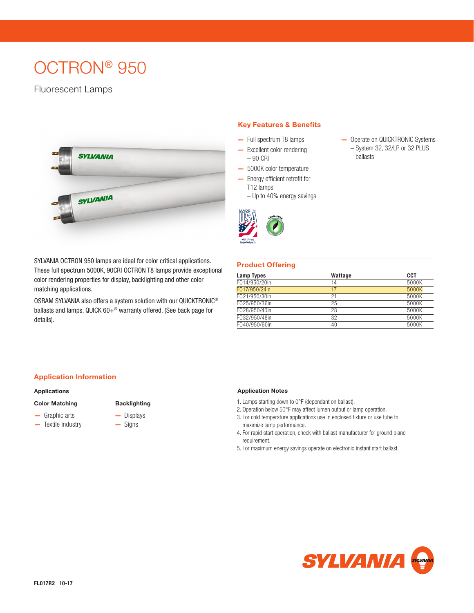# OCTRON® 950

## Fluorescent Lamps



SYLVANIA OCTRON 950 lamps are ideal for color critical applications. These full spectrum 5000K, 90CRI OCTRON T8 lamps provide exceptional color rendering properties for display, backlighting and other color matching applications.

OSRAM SYLVANIA also offers a system solution with our QUICKTRONIC® ballasts and lamps. QUICK 60+® warranty offered. (See back page for details).

#### Key Features & Benefits

- Full spectrum T8 lamps
- Excellent color rendering – 90 CRI
- 5000K color temperature
- Energy efficient retrofit for T12 lamps
	- Up to 40% energy savings



— Operate on QUICKTRONIC Systems – System 32, 32/LP or 32 PLUS ballasts

# Product Offering

| Lamp Types    | Wattage | <b>CCT</b> |
|---------------|---------|------------|
| F014/950/20in | 14      | 5000K      |
| F017/950/24in | 17      | 5000K      |
| F021/950/30in | 21      | 5000K      |
| F025/950/36in | 25      | 5000K      |
| F028/950/40in | 28      | 5000K      |
| F032/950/48in | 32      | 5000K      |
| F040/950/60in | 40      | 5000K      |
|               |         |            |

## Application Information

#### Applications

#### Color Matching

- Graphic arts
- Textile industry

## Backlighting

- Displays
- Signs

#### Application Notes

- 1. Lamps starting down to 0°F (dependant on ballast).
- 2. Operation below 50°F may affect lumen output or lamp operation.
- 3. For cold temperature applications use in enclosed fixture or use tube to maximize lamp performance.
- 4. For rapid start operation, check with ballast manufacturer for ground plane requirement.
- 5. For maximum energy savings operate on electronic instant start ballast.

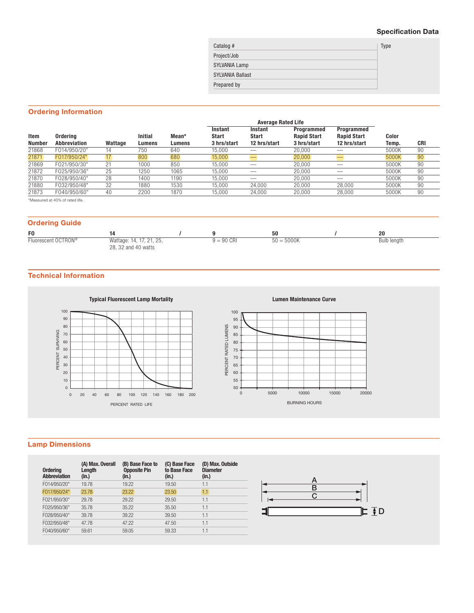## Specification Data

| Catalog #               | <b>Type</b> |
|-------------------------|-------------|
| Project/Job             |             |
| <b>SYLVANIA Lamp</b>    |             |
| <b>SYLVANIA Ballast</b> |             |
| Prepared by             |             |
|                         |             |

## Ordering Information

|               |                                 |         |                |        | <b>Average Rated Life</b> |              |                    |                    |       |     |
|---------------|---------------------------------|---------|----------------|--------|---------------------------|--------------|--------------------|--------------------|-------|-----|
|               |                                 |         |                |        | Instant                   | Instant      | Programmed         | Programmed         |       |     |
| Item          | Ordering                        |         | <b>Initial</b> | Mean*  | <b>Start</b>              | <b>Start</b> | <b>Rapid Start</b> | <b>Rapid Start</b> | Color |     |
| <b>Number</b> | Abbreviation                    | Wattage | Lumens         | Lumens | 3 hrs/start               | 12 hrs/start | 3 hrs/start        | 12 hrs/start       | Temp. | CRI |
| 21868         | F014/950/20"                    | 14      | 750            | 640    | 15.000                    |              | 20.000             |                    | 5000K | 90  |
| 21871         | F017/950/24")                   | 17      | 800            | 680    | 15,000                    |              | 20,000             |                    | 5000K | 90  |
| 21869         | F021/950/30"                    | 21      | 1000           | 850    | 15.000                    |              | 20,000             |                    | 5000K | 90  |
| 21872         | F025/950/36"                    | 25      | 1250           | 1065   | 15.000                    |              | 20.000             |                    | 5000K | 90  |
| 21870         | F028/950/40"                    | 28      | 1400           | 1190   | 15.000                    |              | 20.000             |                    | 5000K | 90  |
| 21880         | F032/950/48"                    | 32      | 1880           | 1530   | 15.000                    | 24,000       | 20.000             | 28.000             | 5000K | 90  |
| 21873         | F040/950/60"                    | 40      | 2200           | 1870   | 15,000                    | 24,000       | 20,000             | 28,000             | 5000K | 90  |
|               | *Measured at 40% of rated life. |         |                |        |                           |              |                    |                    |       |     |

Ordering Guide

| F <sub>0</sub>                  |                                |              | 50           | 20          |
|---------------------------------|--------------------------------|--------------|--------------|-------------|
| Fluorescent OCTRON <sup>®</sup> | Wattage: 14, 17, 2<br>. ۲۰ ۲ ت | $9 = 90$ CRI | $50 = 5000K$ | Bulb length |
|                                 | 32 and 40 watts<br>ററ          |              |              |             |

#### Technical Information



## Lamp Dimensions

| <b>Ordering</b><br><b>Abbreviation</b> | (A) Max. Overall<br>Length<br>(in.) | (B) Base Face to<br><b>Opposite Pin</b><br>(in.) | (C) Base Face<br>to Base Face<br>(in.) | (D) Max. Outside<br><b>Diameter</b><br>(in.) |
|----------------------------------------|-------------------------------------|--------------------------------------------------|----------------------------------------|----------------------------------------------|
| F014/950/20"                           | 19.78                               | 19.22                                            | 19.50                                  | 1.1                                          |
| F017/950/24"                           | 23.78                               | 23.22                                            | 23.50                                  | 1.1                                          |
| F021/950/30"                           | 29.78                               | 29.22                                            | 29.50                                  | 1.1                                          |
| F025/950/36"                           | 35.78                               | 35.22                                            | 35.50                                  | 1.1                                          |
| F028/950/40"                           | 39.78                               | 39.22                                            | 39.50                                  | 1.1                                          |
| F032/950/48"                           | 47.78                               | 47.22                                            | 47.50                                  | 1.1                                          |
| F040/950/60"                           | 59.61                               | 59.05                                            | 59.33                                  | 1.1                                          |